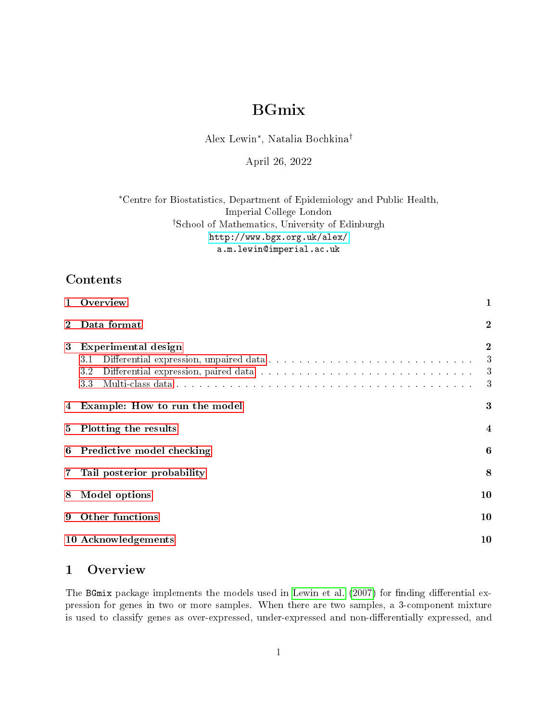# BGmix

Alex Lewin<sup>∗</sup> , Natalia Bochkina†

April 26, 2022

<sup>∗</sup>Centre for Biostatistics, Department of Epidemiology and Public Health, Imperial College London †School of Mathematics, University of Edinburgh <http://www.bgx.org.uk/alex/> a.m.lewin@imperial.ac.uk

## Contents

| $\mathbf{1}$   | Overview                                | 1                               |
|----------------|-----------------------------------------|---------------------------------|
| $\overline{2}$ | Data format                             | $\boldsymbol{2}$                |
| 3              | Experimental design<br>3.1<br>3.2<br>33 | $\boldsymbol{2}$<br>3<br>3<br>3 |
| 4              | Example: How to run the model           | $\boldsymbol{3}$                |
| 5              | Plotting the results                    | 4                               |
| 6              | Predictive model checking               | 6                               |
| 7              | Tail posterior probability              | 8                               |
| 8              | Model options                           | 10                              |
| 9              | Other functions                         | 10                              |
|                | 10 Acknowledgements                     | 10                              |

## <span id="page-0-0"></span>1 Overview

The BGmix package implements the models used in [Lewin et al.](#page-9-3) [\(2007\)](#page-9-3) for finding differential expression for genes in two or more samples. When there are two samples, a 3-component mixture is used to classify genes as over-expressed, under-expressed and non-differentially expressed, and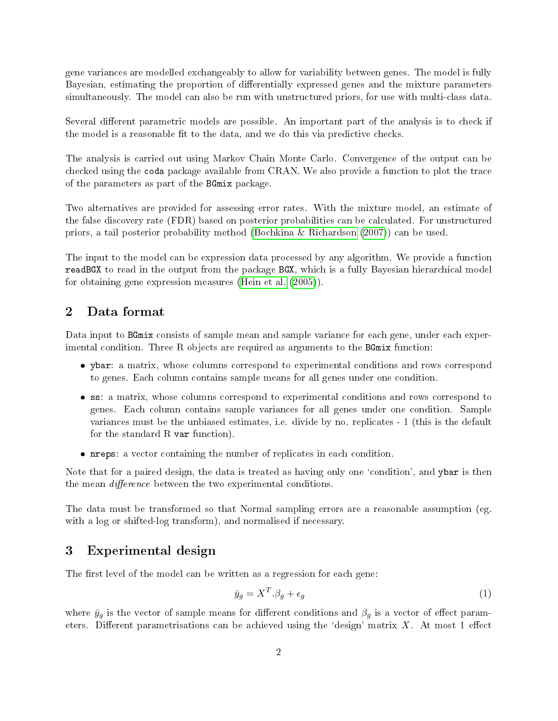gene variances are modelled exchangeably to allow for variability between genes. The model is fully Bayesian, estimating the proportion of differentially expressed genes and the mixture parameters simultaneously. The model can also be run with unstructured priors, for use with multi-class data.

Several different parametric models are possible. An important part of the analysis is to check if the model is a reasonable fit to the data, and we do this via predictive checks.

The analysis is carried out using Markov Chain Monte Carlo. Convergence of the output can be checked using the coda package available from CRAN. We also provide a function to plot the trace of the parameters as part of the BGmix package.

Two alternatives are provided for assessing error rates. With the mixture model, an estimate of the false discovery rate (FDR) based on posterior probabilities can be calculated. For unstructured priors, a tail posterior probability method [\(Bochkina & Richardson](#page-9-4) [\(2007\)](#page-9-4)) can be used.

The input to the model can be expression data processed by any algorithm. We provide a function readBGX to read in the output from the package BGX, which is a fully Bayesian hierarchical model for obtaining gene expression measures [\(Hein et al.](#page-9-5) [\(2005\)](#page-9-5)).

## <span id="page-1-0"></span>2 Data format

Data input to BGmix consists of sample mean and sample variance for each gene, under each experimental condition. Three R objects are required as arguments to the BGmix function:

- ybar: a matrix, whose columns correspond to experimental conditions and rows correspond to genes. Each column contains sample means for all genes under one condition.
- ss: a matrix, whose columns correspond to experimental conditions and rows correspond to genes. Each column contains sample variances for all genes under one condition. Sample variances must be the unbiased estimates, i.e. divide by no. replicates - 1 (this is the default for the standard  $R$  var function).
- nreps: a vector containing the number of replicates in each condition.

Note that for a paired design, the data is treated as having only one 'condition', and ybar is then the mean *difference* between the two experimental conditions.

The data must be transformed so that Normal sampling errors are a reasonable assumption (eg. with a log or shifted-log transform), and normalised if necessary.

### <span id="page-1-1"></span>3 Experimental design

The first level of the model can be written as a regression for each gene:

$$
\bar{y}_g = X^T \beta_g + \epsilon_g \tag{1}
$$

where  $\bar{y}_g$  is the vector of sample means for different conditions and  $\beta_g$  is a vector of effect parameters. Different parametrisations can be achieved using the 'design' matrix  $X$ . At most 1 effect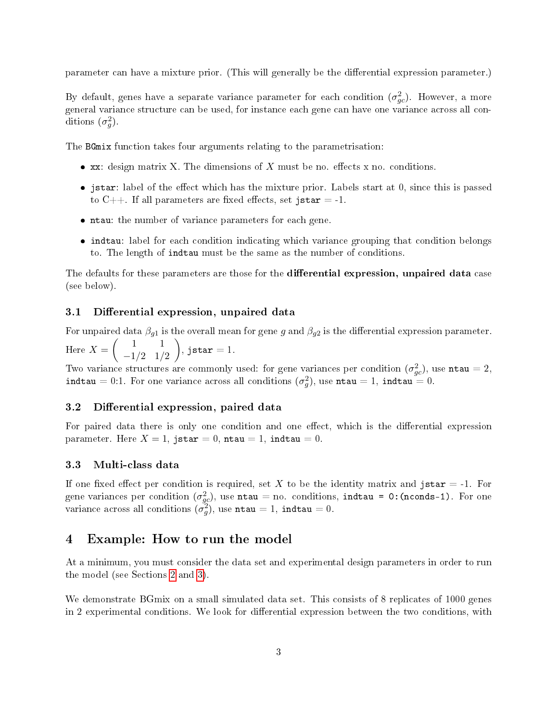parameter can have a mixture prior. (This will generally be the differential expression parameter.)

By default, genes have a separate variance parameter for each condition  $(\sigma_{gc}^2)$ . However, a more general variance structure can be used, for instance each gene can have one variance across all conditions  $(\sigma_g^2)$ .

The BGmix function takes four arguments relating to the parametrisation:

- $\bullet$  xx: design matrix X. The dimensions of X must be no. effects x no. conditions.
- $\bullet$  jstar: label of the effect which has the mixture prior. Labels start at 0, since this is passed to C++. If all parameters are fixed effects, set jstar = -1.
- ntau: the number of variance parameters for each gene.
- indtau: label for each condition indicating which variance grouping that condition belongs to. The length of indtau must be the same as the number of conditions.

The defaults for these parameters are those for the differential expression, unpaired data case (see below).

#### <span id="page-2-0"></span>3.1 Differential expression, unpaired data

For unpaired data  $\beta_{g1}$  is the overall mean for gene g and  $\beta_{g2}$  is the differential expression parameter. Here  $X = \begin{pmatrix} 1 & 1 \\ 1/2 & 1 \end{pmatrix}$  $-1/2$  1/2  $\Big),$  jstar = 1.

Two variance structures are commonly used: for gene variances per condition  $(\sigma_{gc}^2)$ , use  ${\tt ntau}=2,$ indtau = 0:1. For one variance across all conditions  $(\sigma_g^2)$ , use ntau = 1, indtau = 0.

#### <span id="page-2-1"></span>3.2 Differential expression, paired data

For paired data there is only one condition and one effect, which is the differential expression parameter. Here  $X = 1$ , jstar = 0, ntau = 1, indtau = 0.

#### <span id="page-2-2"></span>3.3 Multi-class data

If one fixed effect per condition is required, set X to be the identity matrix and jstar  $= -1$ . For gene variances per condition  $(\sigma_{gc}^2)$ , use ntau = no. conditions, indtau = 0: (nconds-1). For one variance across all conditions  $\tilde{\sigma}_g^2$ , use ntau = 1, indtau = 0.

#### <span id="page-2-3"></span>4 Example: How to run the model

At a minimum, you must consider the data set and experimental design parameters in order to run the model (see Sections [2](#page-1-0) and [3\)](#page-1-1).

We demonstrate BGmix on a small simulated data set. This consists of 8 replicates of 1000 genes in 2 experimental conditions. We look for differential expression between the two conditions, with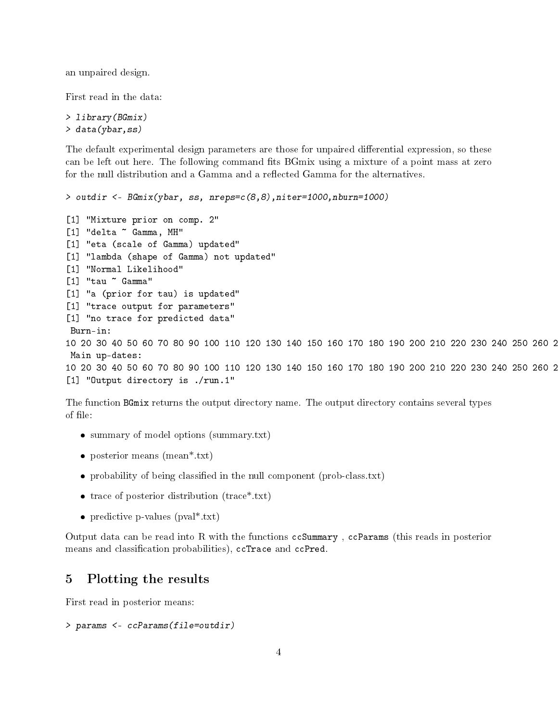an unpaired design.

First read in the data:

> library(BGmix) > data(ybar,ss)

The default experimental design parameters are those for unpaired differential expression, so these can be left out here. The following command fits BGmix using a mixture of a point mass at zero for the null distribution and a Gamma and a reflected Gamma for the alternatives.

```
> outdir <- BGmix(ybar, ss, nreps=c(8,8),niter=1000,nburn=1000)
[1] "Mixture prior on comp. 2"
[1] "delta ~ Gamma, MH"
[1] "eta (scale of Gamma) updated"
[1] "lambda (shape of Gamma) not updated"
[1] "Normal Likelihood"
[1] "tau ~ Gamma"
[1] "a (prior for tau) is updated"
[1] "trace output for parameters"
[1] "no trace for predicted data"
Burn-in:
10 20 30 40 50 60 70 80 90 100 110 120 130 140 150 160 170 180 190 200 210 220 230 240 250 260 2
Main up-dates:
10 20 30 40 50 60 70 80 90 100 110 120 130 140 150 160 170 180 190 200 210 220 230 240 250 260 2
[1] "Output directory is ./run.1"
```
The function BGmix returns the output directory name. The output directory contains several types of file:

- summary of model options (summary.txt)
- posterior means (mean\*.txt)
- probability of being classified in the null component (prob-class.txt)
- trace of posterior distribution (trace\*.txt)
- predictive p-values (pval<sup>\*</sup>.txt)

Output data can be read into R with the functions ccSummary , ccParams (this reads in posterior means and classification probabilities), ccTrace and ccPred.

#### <span id="page-3-0"></span>5 Plotting the results

First read in posterior means:

```
> params <- ccParams(file=outdir)
```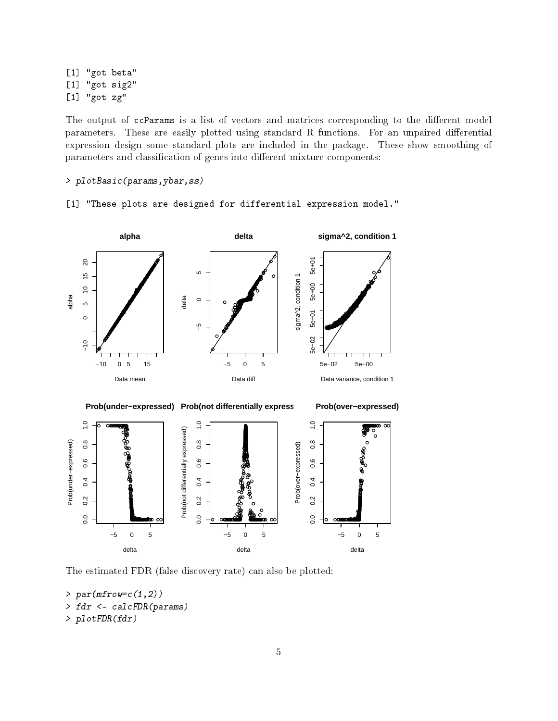[1] "got beta" [1] "got sig2" [1] "got zg"

The output of ccParams is a list of vectors and matrices corresponding to the different model parameters. These are easily plotted using standard R functions. For an unpaired differential expression design some standard plots are included in the package. These show smoothing of parameters and classification of genes into different mixture components:

> plotBasic(params,ybar,ss)

[1] "These plots are designed for differential expression model."



The estimated FDR (false discovery rate) can also be plotted:

```
> par(mfrow=c(1,2))> fdr <- calcFDR(params)
> plotFDR(fdr)
```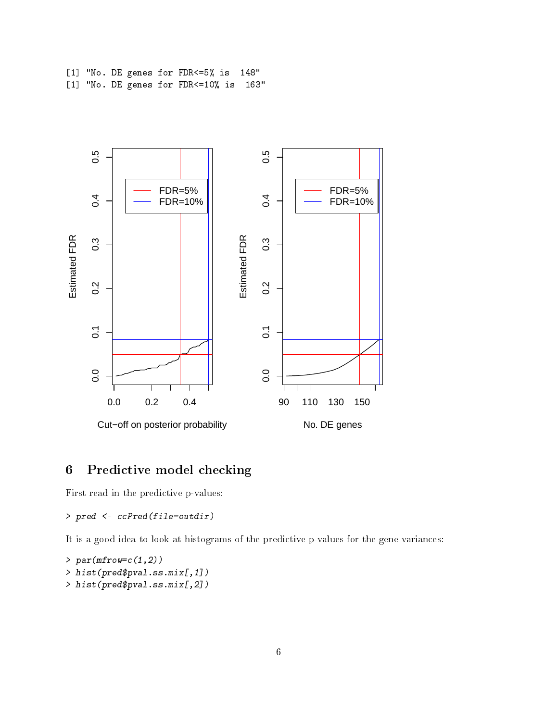[1] "No. DE genes for FDR<=5% is 148" [1] "No. DE genes for FDR<=10% is 163"



## <span id="page-5-0"></span>6 Predictive model checking

First read in the predictive p-values:

> pred <- ccPred(file=outdir)

It is a good idea to look at histograms of the predictive p-values for the gene variances:

 $> par(mfrow=c(1,2))$ > hist(pred\$pval.ss.mix[,1]) > hist(pred\$pval.ss.mix[,2])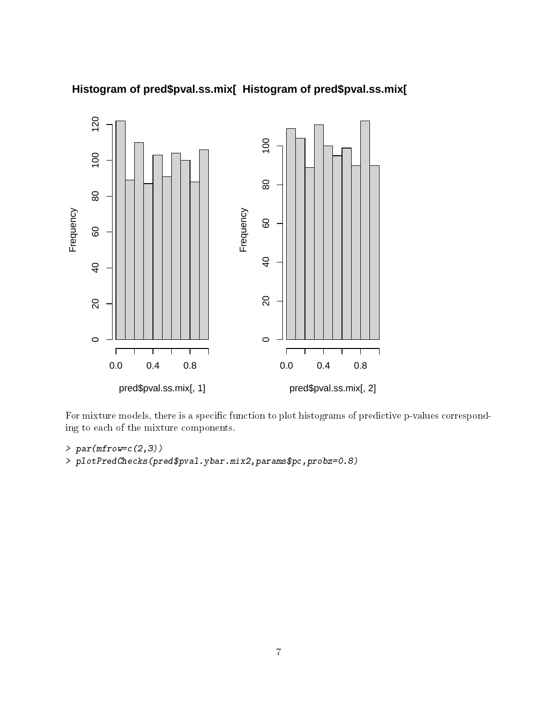

## **Histogram of pred\$pval.ss.mix[, 1] Histogram of pred\$pval.ss.mix[, 2]**

For mixture models, there is a specific function to plot histograms of predictive p-values corresponding to each of the mixture components.

 $> par(mfrow=c(2,3))$ > plotPredChecks(pred\$pval.ybar.mix2,params\$pc,probz=0.8)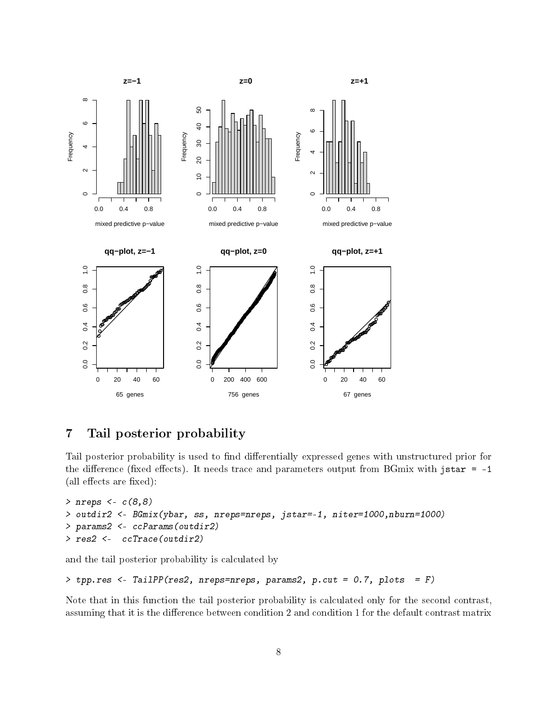

## <span id="page-7-0"></span>7 Tail posterior probability

Tail posterior probability is used to find differentially expressed genes with unstructured prior for the difference (fixed effects). It needs trace and parameters output from BGmix with jstar  $= -1$  $(\text{all effects are fixed})$ :

```
> nreps <- c(8,8)
> outdir2 <- BGmix(ybar, ss, nreps=nreps, jstar=-1, niter=1000,nburn=1000)
> params2 <- ccParams(outdir2)
> res2 <- ccTrace(outdir2)
```
and the tail posterior probability is calculated by

```
> tpp.res <- TailPP(res2, nreps=nreps, params2, p.cut = 0.7, plots = F)
```
Note that in this function the tail posterior probability is calculated only for the second contrast, assuming that it is the difference between condition 2 and condition 1 for the default contrast matrix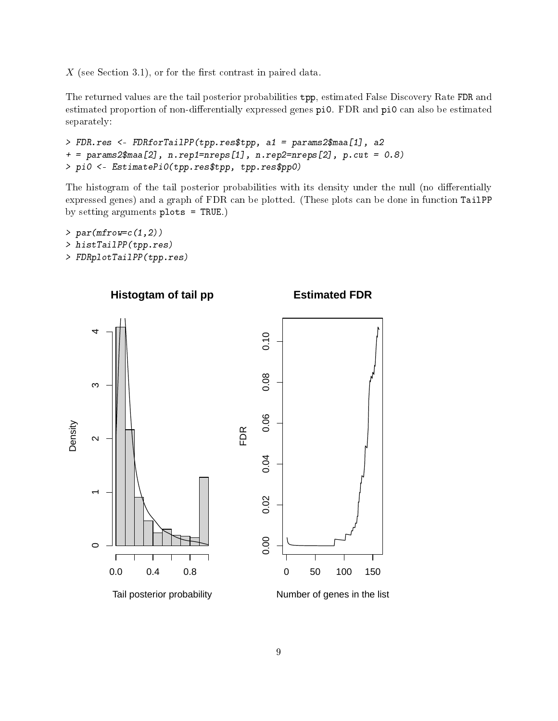$X$  (see Section 3.1), or for the first contrast in paired data.

The returned values are the tail posterior probabilities tpp, estimated False Discovery Rate FDR and estimated proportion of non-differentially expressed genes pi0. FDR and pi0 can also be estimated separately:

```
> FDR.res <- FDRforTailPP(tpp.res$tpp, a1 = params2$maa[1], a2
+ = params2$maa[2], n.rep1=nreps[1], n.rep2=nreps[2], p.cut = 0.8)
> pi0 <- EstimatePi0(tpp.res$tpp, tpp.res$pp0)
```
The histogram of the tail posterior probabilities with its density under the null (no differentially expressed genes) and a graph of FDR can be plotted. (These plots can be done in function TailPP by setting arguments plots = TRUE.)

```
> par(mfrow=c(1,2))> histTailPP(tpp.res)
> FDRplotTailPP(tpp.res)
```